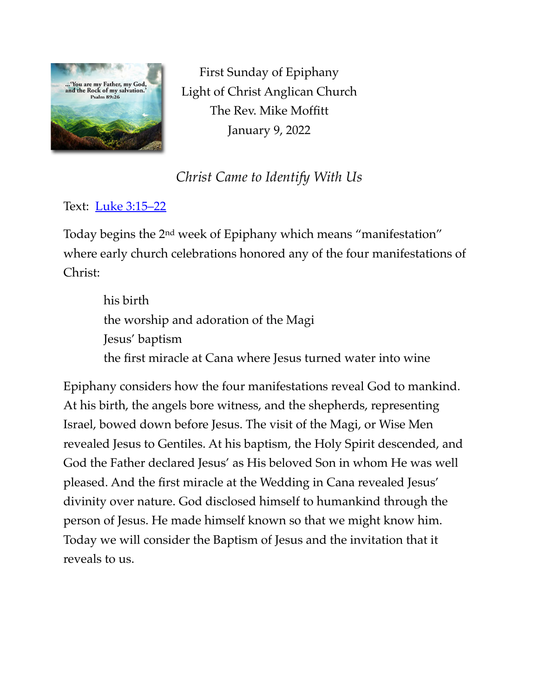

First Sunday of Epiphany Light of Christ Anglican Church The Rev. Mike Moffitt January 9, 2022

## *Christ Came to Identify With Us*

Text: [Luke 3:15–22](https://www.biblegateway.com/passage/?search=Luke+3:15-22&version=ESV)

Today begins the 2nd week of Epiphany which means "manifestation" where early church celebrations honored any of the four manifestations of Christ:

> his birth the worship and adoration of the Magi Jesus' baptism the first miracle at Cana where Jesus turned water into wine

Epiphany considers how the four manifestations reveal God to mankind. At his birth, the angels bore witness, and the shepherds, representing Israel, bowed down before Jesus. The visit of the Magi, or Wise Men revealed Jesus to Gentiles. At his baptism, the Holy Spirit descended, and God the Father declared Jesus' as His beloved Son in whom He was well pleased. And the first miracle at the Wedding in Cana revealed Jesus' divinity over nature. God disclosed himself to humankind through the person of Jesus. He made himself known so that we might know him. Today we will consider the Baptism of Jesus and the invitation that it reveals to us.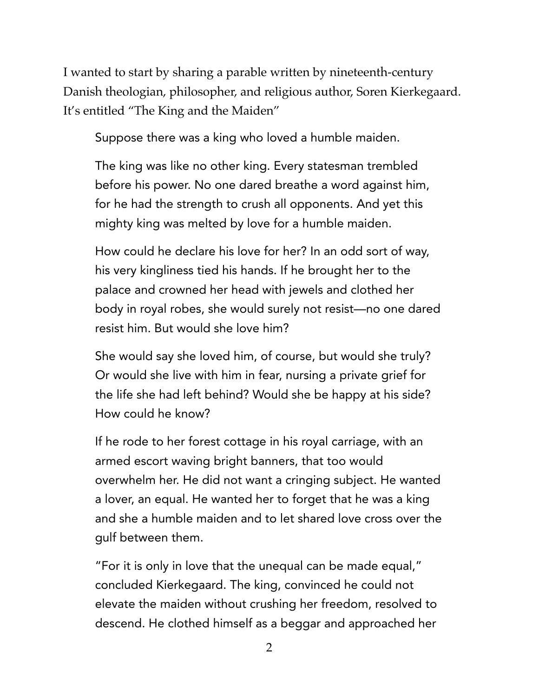I wanted to start by sharing a parable written by nineteenth-century Danish theologian, philosopher, and religious author, Soren Kierkegaard. It's entitled "The King and the Maiden"

Suppose there was a king who loved a humble maiden.

The king was like no other king. Every statesman trembled before his power. No one dared breathe a word against him, for he had the strength to crush all opponents. And yet this mighty king was melted by love for a humble maiden.

How could he declare his love for her? In an odd sort of way, his very kingliness tied his hands. If he brought her to the palace and crowned her head with jewels and clothed her body in royal robes, she would surely not resist—no one dared resist him. But would she love him?

She would say she loved him, of course, but would she truly? Or would she live with him in fear, nursing a private grief for the life she had left behind? Would she be happy at his side? How could he know?

If he rode to her forest cottage in his royal carriage, with an armed escort waving bright banners, that too would overwhelm her. He did not want a cringing subject. He wanted a lover, an equal. He wanted her to forget that he was a king and she a humble maiden and to let shared love cross over the gulf between them.

"For it is only in love that the unequal can be made equal," concluded Kierkegaard. The king, convinced he could not elevate the maiden without crushing her freedom, resolved to descend. He clothed himself as a beggar and approached her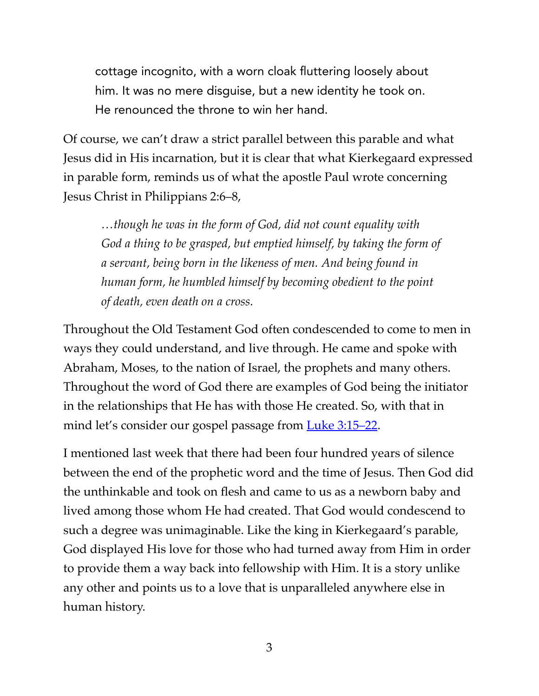cottage incognito, with a worn cloak fluttering loosely about him. It was no mere disguise, but a new identity he took on. He renounced the throne to win her hand.

Of course, we can't draw a strict parallel between this parable and what Jesus did in His incarnation, but it is clear that what Kierkegaard expressed in parable form, reminds us of what the apostle Paul wrote concerning Jesus Christ in Philippians 2:6–8,

*…though he was in the form of God, did not count equality with God a thing to be grasped, but emptied himself, by taking the form of a servant, being born in the likeness of men. And being found in human form, he humbled himself by becoming obedient to the point of death, even death on a cross.* 

Throughout the Old Testament God often condescended to come to men in ways they could understand, and live through. He came and spoke with Abraham, Moses, to the nation of Israel, the prophets and many others. Throughout the word of God there are examples of God being the initiator in the relationships that He has with those He created. So, with that in mind let's consider our gospel passage from [Luke 3:15–22.](https://www.biblegateway.com/passage/?search=Luke+3:15-22&version=ESV)

I mentioned last week that there had been four hundred years of silence between the end of the prophetic word and the time of Jesus. Then God did the unthinkable and took on flesh and came to us as a newborn baby and lived among those whom He had created. That God would condescend to such a degree was unimaginable. Like the king in Kierkegaard's parable, God displayed His love for those who had turned away from Him in order to provide them a way back into fellowship with Him. It is a story unlike any other and points us to a love that is unparalleled anywhere else in human history.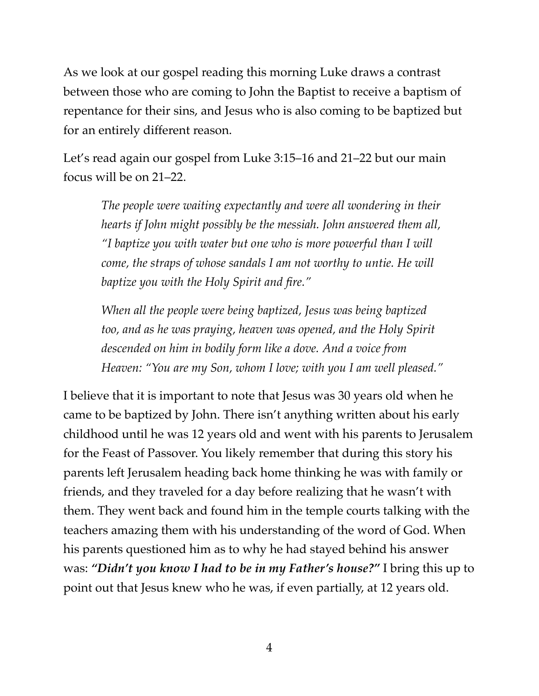As we look at our gospel reading this morning Luke draws a contrast between those who are coming to John the Baptist to receive a baptism of repentance for their sins, and Jesus who is also coming to be baptized but for an entirely different reason.

Let's read again our gospel from Luke 3:15–16 and 21–22 but our main focus will be on 21–22.

*The people were waiting expectantly and were all wondering in their hearts if John might possibly be the messiah. John answered them all, "I baptize you with water but one who is more powerful than I will come, the straps of whose sandals I am not worthy to untie. He will baptize you with the Holy Spirit and fire."* 

*When all the people were being baptized, Jesus was being baptized too, and as he was praying, heaven was opened, and the Holy Spirit descended on him in bodily form like a dove. And a voice from Heaven: "You are my Son, whom I love; with you I am well pleased."* 

I believe that it is important to note that Jesus was 30 years old when he came to be baptized by John. There isn't anything written about his early childhood until he was 12 years old and went with his parents to Jerusalem for the Feast of Passover. You likely remember that during this story his parents left Jerusalem heading back home thinking he was with family or friends, and they traveled for a day before realizing that he wasn't with them. They went back and found him in the temple courts talking with the teachers amazing them with his understanding of the word of God. When his parents questioned him as to why he had stayed behind his answer was: *"Didn't you know I had to be in my Father's house?"* I bring this up to point out that Jesus knew who he was, if even partially, at 12 years old.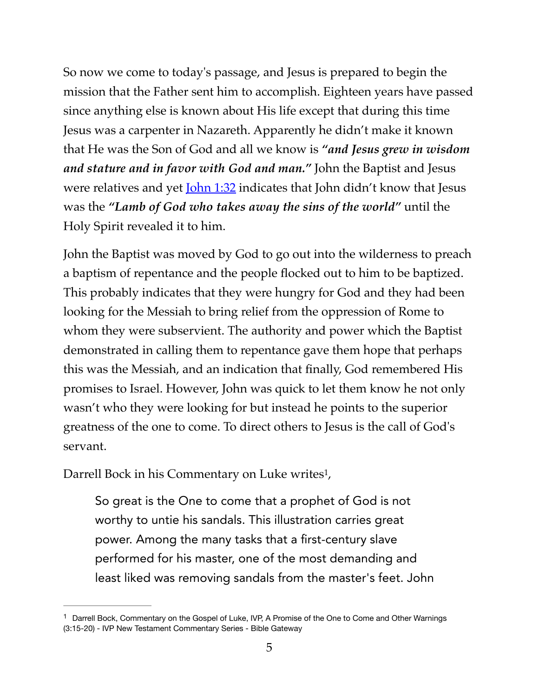So now we come to today's passage, and Jesus is prepared to begin the mission that the Father sent him to accomplish. Eighteen years have passed since anything else is known about His life except that during this time Jesus was a carpenter in Nazareth. Apparently he didn't make it known that He was the Son of God and all we know is *"and Jesus grew in wisdom and stature and in favor with God and man."* John the Baptist and Jesus were relatives and yet <u>[John 1:32](https://www.biblegateway.com/passage/?search=John+1:32%E2%80%9334&version=ESV)</u> indicates that John didn't know that Jesus was the *"Lamb of God who takes away the sins of the world"* until the Holy Spirit revealed it to him.

John the Baptist was moved by God to go out into the wilderness to preach a baptism of repentance and the people flocked out to him to be baptized. This probably indicates that they were hungry for God and they had been looking for the Messiah to bring relief from the oppression of Rome to whom they were subservient. The authority and power which the Baptist demonstrated in calling them to repentance gave them hope that perhaps this was the Messiah, and an indication that finally, God remembered His promises to Israel. However, John was quick to let them know he not only wasn't who they were looking for but instead he points to the superior greatness of the one to come. To direct others to Jesus is the call of God's servant.

Darrell Bock in his Commentary on Luke writes<sup>[1](#page-4-0)</sup>,

<span id="page-4-1"></span>So great is the One to come that a prophet of God is not worthy to untie his sandals. This illustration carries great power. Among the many tasks that a first-century slave performed for his master, one of the most demanding and least liked was removing sandals from the master's feet. John

<span id="page-4-0"></span><sup>&</sup>lt;sup>[1](#page-4-1)</sup> Darrell Bock, Commentary on the Gospel of Luke, IVP, A Promise of the One to Come and Other Warnings (3:15-20) - IVP New Testament Commentary Series - Bible Gateway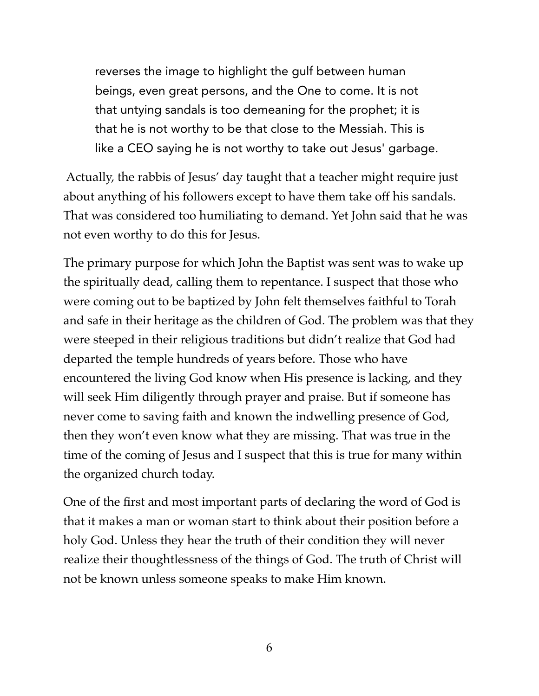reverses the image to highlight the gulf between human beings, even great persons, and the One to come. It is not that untying sandals is too demeaning for the prophet; it is that he is not worthy to be that close to the Messiah. This is like a CEO saying he is not worthy to take out Jesus' garbage.

 Actually, the rabbis of Jesus' day taught that a teacher might require just about anything of his followers except to have them take off his sandals. That was considered too humiliating to demand. Yet John said that he was not even worthy to do this for Jesus.

The primary purpose for which John the Baptist was sent was to wake up the spiritually dead, calling them to repentance. I suspect that those who were coming out to be baptized by John felt themselves faithful to Torah and safe in their heritage as the children of God. The problem was that they were steeped in their religious traditions but didn't realize that God had departed the temple hundreds of years before. Those who have encountered the living God know when His presence is lacking, and they will seek Him diligently through prayer and praise. But if someone has never come to saving faith and known the indwelling presence of God, then they won't even know what they are missing. That was true in the time of the coming of Jesus and I suspect that this is true for many within the organized church today.

One of the first and most important parts of declaring the word of God is that it makes a man or woman start to think about their position before a holy God. Unless they hear the truth of their condition they will never realize their thoughtlessness of the things of God. The truth of Christ will not be known unless someone speaks to make Him known.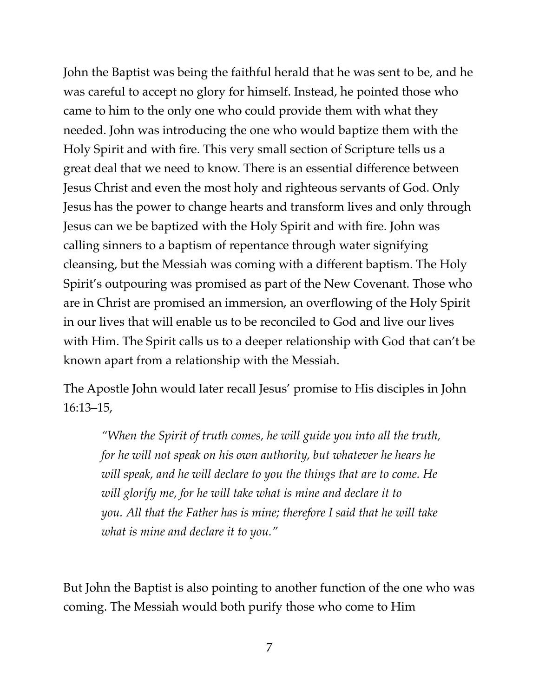John the Baptist was being the faithful herald that he was sent to be, and he was careful to accept no glory for himself. Instead, he pointed those who came to him to the only one who could provide them with what they needed. John was introducing the one who would baptize them with the Holy Spirit and with fire. This very small section of Scripture tells us a great deal that we need to know. There is an essential difference between Jesus Christ and even the most holy and righteous servants of God. Only Jesus has the power to change hearts and transform lives and only through Jesus can we be baptized with the Holy Spirit and with fire. John was calling sinners to a baptism of repentance through water signifying cleansing, but the Messiah was coming with a different baptism. The Holy Spirit's outpouring was promised as part of the New Covenant. Those who are in Christ are promised an immersion, an overflowing of the Holy Spirit in our lives that will enable us to be reconciled to God and live our lives with Him. The Spirit calls us to a deeper relationship with God that can't be known apart from a relationship with the Messiah.

The Apostle John would later recall Jesus' promise to His disciples in John 16:13–15,

*"When the Spirit of truth comes, he will guide you into all the truth, for he will not speak on his own authority, but whatever he hears he will speak, and he will declare to you the things that are to come. He will glorify me, for he will take what is mine and declare it to you. All that the Father has is mine; therefore I said that he will take what is mine and declare it to you."* 

But John the Baptist is also pointing to another function of the one who was coming. The Messiah would both purify those who come to Him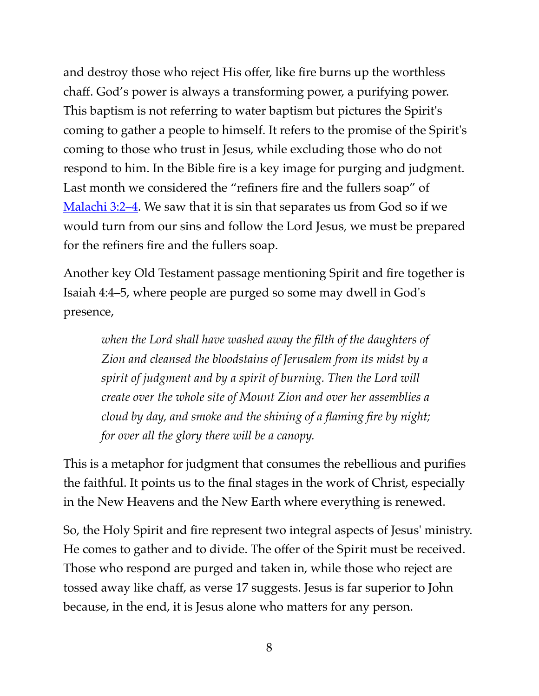and destroy those who reject His offer, like fire burns up the worthless chaff. God's power is always a transforming power, a purifying power. This baptism is not referring to water baptism but pictures the Spirit's coming to gather a people to himself. It refers to the promise of the Spirit's coming to those who trust in Jesus, while excluding those who do not respond to him. In the Bible fire is a key image for purging and judgment. Last month we considered the "refiners fire and the fullers soap" of [Malachi 3:2–4.](https://www.biblegateway.com/passage/?search=Malachi+3:2%E2%80%934&version=ESV) We saw that it is sin that separates us from God so if we would turn from our sins and follow the Lord Jesus, we must be prepared for the refiners fire and the fullers soap.

Another key Old Testament passage mentioning Spirit and fire together is Isaiah 4:4–5, where people are purged so some may dwell in God's presence,

*when the Lord shall have washed away the filth of the daughters of Zion and cleansed the bloodstains of Jerusalem from its midst by a spirit of judgment and by a spirit of burning. Then the Lord will create over the whole site of Mount Zion and over her assemblies a cloud by day, and smoke and the shining of a flaming fire by night; for over all the glory there will be a canopy.* 

This is a metaphor for judgment that consumes the rebellious and purifies the faithful. It points us to the final stages in the work of Christ, especially in the New Heavens and the New Earth where everything is renewed.

So, the Holy Spirit and fire represent two integral aspects of Jesus' ministry. He comes to gather and to divide. The offer of the Spirit must be received. Those who respond are purged and taken in, while those who reject are tossed away like chaff, as verse 17 suggests. Jesus is far superior to John because, in the end, it is Jesus alone who matters for any person.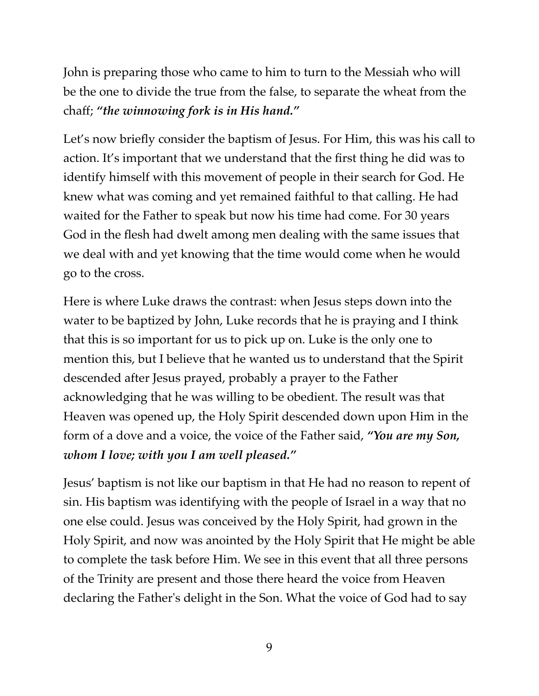John is preparing those who came to him to turn to the Messiah who will be the one to divide the true from the false, to separate the wheat from the chaff; *"the winnowing fork is in His hand."*

Let's now briefly consider the baptism of Jesus. For Him, this was his call to action. It's important that we understand that the first thing he did was to identify himself with this movement of people in their search for God. He knew what was coming and yet remained faithful to that calling. He had waited for the Father to speak but now his time had come. For 30 years God in the flesh had dwelt among men dealing with the same issues that we deal with and yet knowing that the time would come when he would go to the cross.

Here is where Luke draws the contrast: when Jesus steps down into the water to be baptized by John, Luke records that he is praying and I think that this is so important for us to pick up on. Luke is the only one to mention this, but I believe that he wanted us to understand that the Spirit descended after Jesus prayed, probably a prayer to the Father acknowledging that he was willing to be obedient. The result was that Heaven was opened up, the Holy Spirit descended down upon Him in the form of a dove and a voice, the voice of the Father said, *"You are my Son, whom I love; with you I am well pleased."*

Jesus' baptism is not like our baptism in that He had no reason to repent of sin. His baptism was identifying with the people of Israel in a way that no one else could. Jesus was conceived by the Holy Spirit, had grown in the Holy Spirit, and now was anointed by the Holy Spirit that He might be able to complete the task before Him. We see in this event that all three persons of the Trinity are present and those there heard the voice from Heaven declaring the Father's delight in the Son. What the voice of God had to say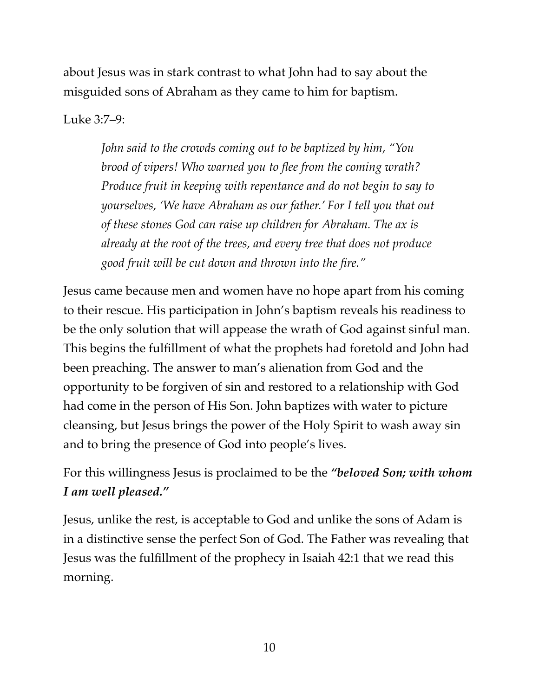about Jesus was in stark contrast to what John had to say about the misguided sons of Abraham as they came to him for baptism.

Luke 3:7–9:

*John said to the crowds coming out to be baptized by him, "You brood of vipers! Who warned you to flee from the coming wrath? Produce fruit in keeping with repentance and do not begin to say to yourselves, 'We have Abraham as our father.' For I tell you that out of these stones God can raise up children for Abraham. The ax is already at the root of the trees, and every tree that does not produce good fruit will be cut down and thrown into the fire."* 

Jesus came because men and women have no hope apart from his coming to their rescue. His participation in John's baptism reveals his readiness to be the only solution that will appease the wrath of God against sinful man. This begins the fulfillment of what the prophets had foretold and John had been preaching. The answer to man's alienation from God and the opportunity to be forgiven of sin and restored to a relationship with God had come in the person of His Son. John baptizes with water to picture cleansing, but Jesus brings the power of the Holy Spirit to wash away sin and to bring the presence of God into people's lives.

For this willingness Jesus is proclaimed to be the *"beloved Son; with whom I am well pleased."*

Jesus, unlike the rest, is acceptable to God and unlike the sons of Adam is in a distinctive sense the perfect Son of God. The Father was revealing that Jesus was the fulfillment of the prophecy in Isaiah 42:1 that we read this morning.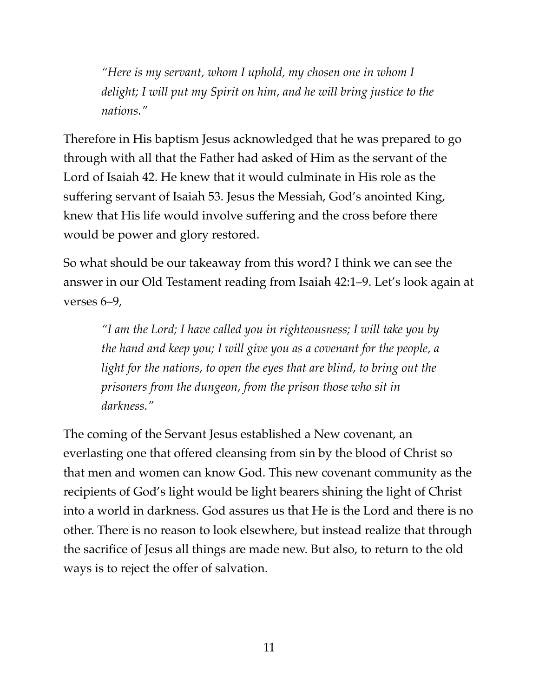*"Here is my servant, whom I uphold, my chosen one in whom I delight; I will put my Spirit on him, and he will bring justice to the nations."* 

Therefore in His baptism Jesus acknowledged that he was prepared to go through with all that the Father had asked of Him as the servant of the Lord of Isaiah 42. He knew that it would culminate in His role as the suffering servant of Isaiah 53. Jesus the Messiah, God's anointed King, knew that His life would involve suffering and the cross before there would be power and glory restored.

So what should be our takeaway from this word? I think we can see the answer in our Old Testament reading from Isaiah 42:1–9. Let's look again at verses 6–9,

*"I am the Lord; I have called you in righteousness; I will take you by the hand and keep you; I will give you as a covenant for the people, a light for the nations, to open the eyes that are blind, to bring out the prisoners from the dungeon, from the prison those who sit in darkness."*

The coming of the Servant Jesus established a New covenant, an everlasting one that offered cleansing from sin by the blood of Christ so that men and women can know God. This new covenant community as the recipients of God's light would be light bearers shining the light of Christ into a world in darkness. God assures us that He is the Lord and there is no other. There is no reason to look elsewhere, but instead realize that through the sacrifice of Jesus all things are made new. But also, to return to the old ways is to reject the offer of salvation.